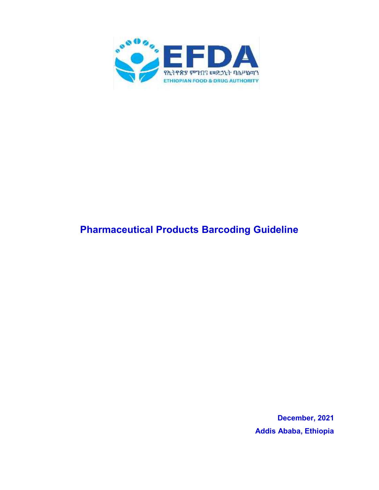

# **Pharmaceutical Products Barcoding Guideline**

**December, 2021 Addis Ababa, Ethiopia**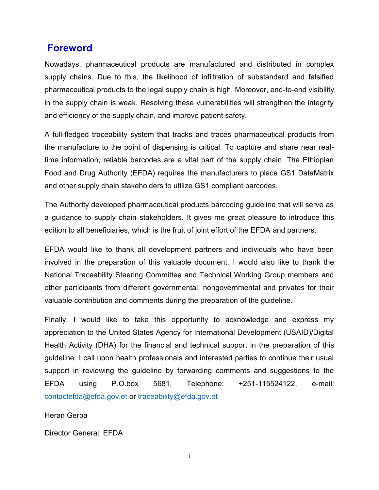### **Foreword**

Nowadays, pharmaceutical products are manufactured and distributed in complex supply chains. Due to this, the likelihood of infiltration of substandard and falsified pharmaceutical products to the legal supply chain is high. Moreover, end-to-end visibility in the supply chain is weak. Resolving these vulnerabilities will strengthen the integrity and efficiency of the supply chain, and improve patient safety.

A full-fledged traceability system that tracks and traces pharmaceutical products from the manufacture to the point of dispensing is critical. To capture and share near realtime information, reliable barcodes are a vital part of the supply chain. The Ethiopian Food and Drug Authority (EFDA) requires the manufacturers to place GS1 DataMatrix and other supply chain stakeholders to utilize GS1 compliant barcodes.

The Authority developed pharmaceutical products barcoding guideline that will serve as a guidance to supply chain stakeholders. It gives me great pleasure to introduce this edition to all beneficiaries, which is the fruit of joint effort of the EFDA and partners.

EFDA would like to thank all development partners and individuals who have been involved in the preparation of this valuable document. I would also like to thank the National Traceability Steering Committee and Technical Working Group members and other participants from different governmental, nongovernmental and privates for their valuable contribution and comments during the preparation of the guideline.

Finally, I would like to take this opportunity to acknowledge and express my appreciation to the United States Agency for International Development (USAID)/Digital Health Activity (DHA) for the financial and technical support in the preparation of this guideline. I call upon health professionals and interested parties to continue their usual support in reviewing the guideline by forwarding comments and suggestions to the EFDA using P.O.box 5681, Telephone: +251-115524122, e-mail: contactefda@efda.gov.et or traceability@efda.gov.et

Heran Gerba

Director General, EFDA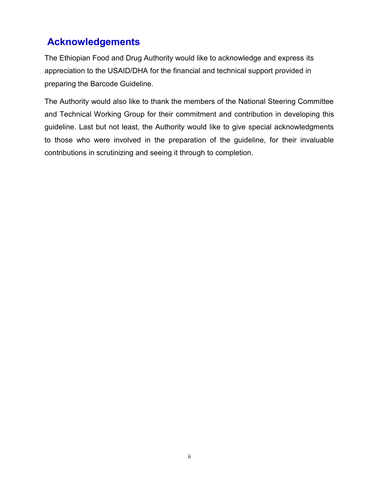## **Acknowledgements**

The Ethiopian Food and Drug Authority would like to acknowledge and express its appreciation to the USAID/DHA for the financial and technical support provided in preparing the Barcode Guideline.

The Authority would also like to thank the members of the National Steering Committee and Technical Working Group for their commitment and contribution in developing this guideline. Last but not least, the Authority would like to give special acknowledgments to those who were involved in the preparation of the guideline, for their invaluable contributions in scrutinizing and seeing it through to completion.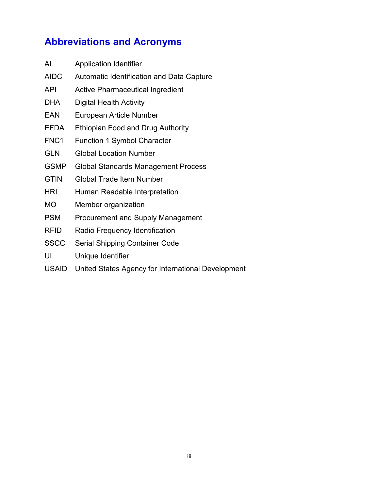# **Abbreviations and Acronyms**

| United States Agency for International Development |
|----------------------------------------------------|
|                                                    |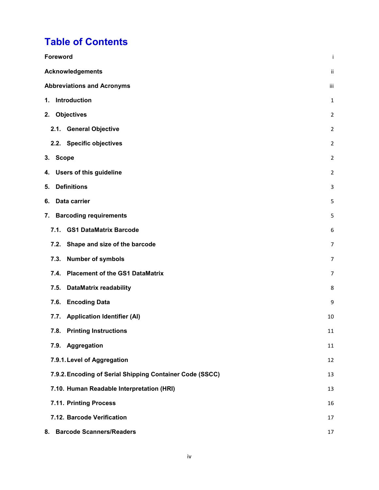## **Table of Contents**

| <b>Foreword</b>                                          | Ť      |
|----------------------------------------------------------|--------|
| <b>Acknowledgements</b>                                  | ij.    |
| <b>Abbreviations and Acronyms</b>                        | iii    |
| Introduction<br>1.                                       | 1      |
| <b>Objectives</b><br>2.                                  | 2      |
| <b>General Objective</b><br>2.1.                         | 2      |
| 2.2. Specific objectives                                 | 2      |
| 3.<br><b>Scope</b>                                       | 2      |
| <b>Users of this guideline</b><br>4.                     | 2      |
| <b>Definitions</b><br>5.                                 | 3      |
| Data carrier<br>6.                                       | 5      |
| <b>Barcoding requirements</b><br>7.                      | 5      |
| <b>GS1 DataMatrix Barcode</b><br>7.1.                    | 6      |
| Shape and size of the barcode<br>7.2.                    | 7      |
| <b>Number of symbols</b><br>7.3.                         | 7      |
| <b>Placement of the GS1 DataMatrix</b><br>7.4.           | 7      |
| <b>DataMatrix readability</b><br>7.5.                    | 8      |
| <b>Encoding Data</b><br>7.6.                             | 9      |
| <b>Application Identifier (AI)</b><br>7.7.               | 10     |
| 7.8. Printing Instructions                               | $11\,$ |
| 7.9. Aggregation                                         | 11     |
| 7.9.1. Level of Aggregation                              | 12     |
| 7.9.2. Encoding of Serial Shipping Container Code (SSCC) | 13     |
| 7.10. Human Readable Interpretation (HRI)                | 13     |
| 7.11. Printing Process                                   | 16     |
| 7.12. Barcode Verification                               | 17     |
| <b>Barcode Scanners/Readers</b><br>8.                    | 17     |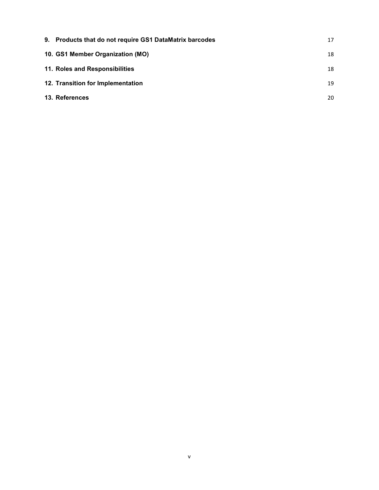| 9. Products that do not require GS1 DataMatrix barcodes | 17 |
|---------------------------------------------------------|----|
| 10. GS1 Member Organization (MO)                        | 18 |
| 11. Roles and Responsibilities                          | 18 |
| 12. Transition for Implementation                       | 19 |
| 13. References                                          | 20 |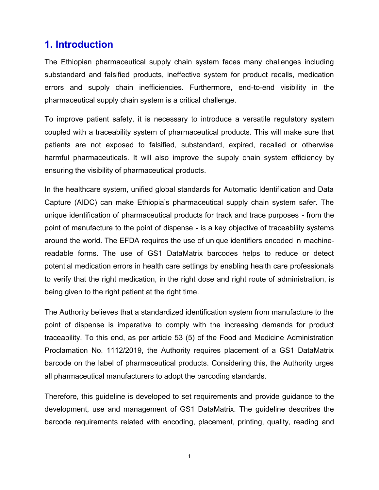## **1. Introduction**

The Ethiopian pharmaceutical supply chain system faces many challenges including substandard and falsified products, ineffective system for product recalls, medication errors and supply chain inefficiencies. Furthermore, end-to-end visibility in the pharmaceutical supply chain system is a critical challenge.

To improve patient safety, it is necessary to introduce a versatile regulatory system coupled with a traceability system of pharmaceutical products. This will make sure that patients are not exposed to falsified, substandard, expired, recalled or otherwise harmful pharmaceuticals. It will also improve the supply chain system efficiency by ensuring the visibility of pharmaceutical products.

In the healthcare system, unified global standards for Automatic Identification and Data Capture (AIDC) can make Ethiopia's pharmaceutical supply chain system safer. The unique identification of pharmaceutical products for track and trace purposes - from the point of manufacture to the point of dispense - is a key objective of traceability systems around the world. The EFDA requires the use of unique identifiers encoded in machinereadable forms. The use of GS1 DataMatrix barcodes helps to reduce or detect potential medication errors in health care settings by enabling health care professionals to verify that the right medication, in the right dose and right route of administration, is being given to the right patient at the right time.

The Authority believes that a standardized identification system from manufacture to the point of dispense is imperative to comply with the increasing demands for product traceability. To this end, as per article 53 (5) of the Food and Medicine Administration Proclamation No. 1112/2019, the Authority requires placement of a GS1 DataMatrix barcode on the label of pharmaceutical products. Considering this, the Authority urges all pharmaceutical manufacturers to adopt the barcoding standards.

Therefore, this guideline is developed to set requirements and provide guidance to the development, use and management of GS1 DataMatrix. The guideline describes the barcode requirements related with encoding, placement, printing, quality, reading and

1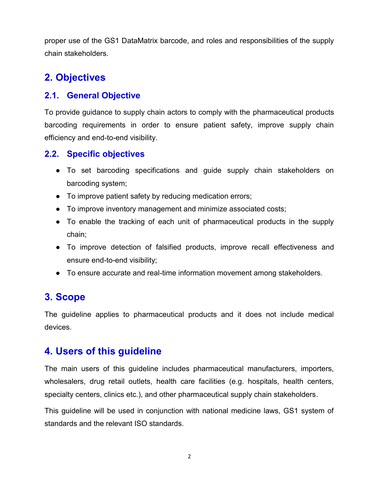proper use of the GS1 DataMatrix barcode, and roles and responsibilities of the supply chain stakeholders.

## **2. Objectives**

#### **2.1. General Objective**

To provide guidance to supply chain actors to comply with the pharmaceutical products barcoding requirements in order to ensure patient safety, improve supply chain efficiency and end-to-end visibility.

#### **2.2. Specific objectives**

- To set barcoding specifications and guide supply chain stakeholders on barcoding system;
- To improve patient safety by reducing medication errors;
- To improve inventory management and minimize associated costs;
- To enable the tracking of each unit of pharmaceutical products in the supply chain;
- To improve detection of falsified products, improve recall effectiveness and ensure end-to-end visibility;
- To ensure accurate and real-time information movement among stakeholders.

### **3. Scope**

The guideline applies to pharmaceutical products and it does not include medical devices.

### **4. Users of this guideline**

The main users of this guideline includes pharmaceutical manufacturers, importers, wholesalers, drug retail outlets, health care facilities (e.g. hospitals, health centers, specialty centers, clinics etc.), and other pharmaceutical supply chain stakeholders.

This guideline will be used in conjunction with national medicine laws, GS1 system of standards and the relevant ISO standards.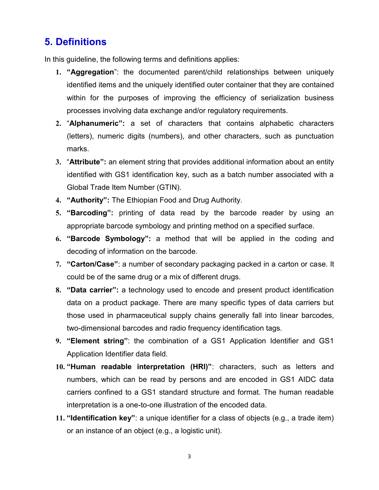### **5. Definitions**

In this guideline, the following terms and definitions applies:

- **1. "Aggregation**": the documented parent/child relationships between uniquely identified items and the uniquely identified outer container that they are contained within for the purposes of improving the efficiency of serialization business processes involving data exchange and/or regulatory requirements.
- **2.** "**Alphanumeric":** a set of characters that contains alphabetic characters (letters), numeric digits (numbers), and other characters, such as punctuation marks.
- **3.** "**Attribute":** an element string that provides additional information about an entity identified with GS1 identification key, such as a batch number associated with a Global Trade Item Number (GTIN).
- **4. "Authority":** The Ethiopian Food and Drug Authority.
- **5. "Barcoding":** printing of data read by the barcode reader by using an appropriate barcode symbology and printing method on a specified surface.
- **6. "Barcode Symbology":** a method that will be applied in the coding and decoding of information on the barcode.
- **7. "Carton/Case"**: a number of secondary packaging packed in a carton or case. It could be of the same drug or a mix of different drugs.
- **8. "Data carrier":** a technology used to encode and present product identification data on a product package. There are many specific types of data carriers but those used in pharmaceutical supply chains generally fall into linear barcodes, two-dimensional barcodes and radio frequency identification tags.
- **9. "Element string"**: the combination of a GS1 Application Identifier and GS1 Application Identifier data field.
- **10. "Human readable interpretation (HRI)"**: characters, such as letters and numbers, which can be read by persons and are encoded in GS1 AIDC data carriers confined to a GS1 standard structure and format. The human readable interpretation is a one-to-one illustration of the encoded data.
- **11. "Identification key"**: a unique identifier for a class of objects (e.g., a trade item) or an instance of an object (e.g., a logistic unit).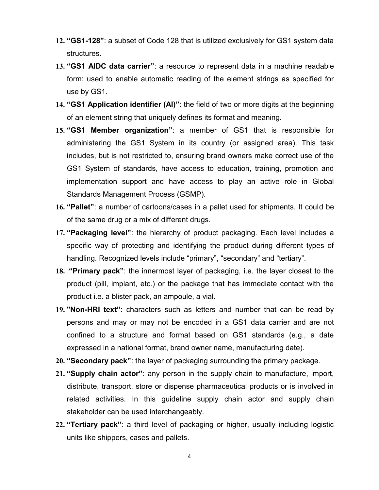- **12. "GS1-128"**: a subset of Code 128 that is utilized exclusively for GS1 system data structures.
- **13. "GS1 AIDC data carrier"**: a resource to represent data in a machine readable form; used to enable automatic reading of the element strings as specified for use by GS1.
- **14. "GS1 Application identifier (AI)"**: the field of two or more digits at the beginning of an element string that uniquely defines its format and meaning.
- **15. "GS1 Member organization"**: a member of GS1 that is responsible for administering the GS1 System in its country (or assigned area). This task includes, but is not restricted to, ensuring brand owners make correct use of the GS1 System of standards, have access to education, training, promotion and implementation support and have access to play an active role in Global Standards Management Process (GSMP).
- **16. "Pallet"**: a number of cartoons/cases in a pallet used for shipments. It could be of the same drug or a mix of different drugs.
- **17. "Packaging level"**: the hierarchy of product packaging. Each level includes a specific way of protecting and identifying the product during different types of handling. Recognized levels include "primary", "secondary" and "tertiary".
- **18. "Primary pack"**: the innermost layer of packaging, i.e. the layer closest to the product (pill, implant, etc.) or the package that has immediate contact with the product i.e. a blister pack, an ampoule, a vial.
- **19. "Non-HRI text"**: characters such as letters and number that can be read by persons and may or may not be encoded in a GS1 data carrier and are not confined to a structure and format based on GS1 standards (e.g., a date expressed in a national format, brand owner name, manufacturing date).
- **20. "Secondary pack"**: the layer of packaging surrounding the primary package.
- **21. "Supply chain actor"**: any person in the supply chain to manufacture, import, distribute, transport, store or dispense pharmaceutical products or is involved in related activities. In this guideline supply chain actor and supply chain stakeholder can be used interchangeably.
- **22. "Tertiary pack"**: a third level of packaging or higher, usually including logistic units like shippers, cases and pallets.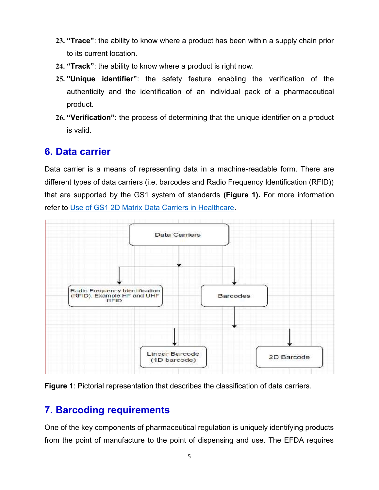- **23. "Trace"**: the ability to know where a product has been within a supply chain prior to its current location.
- **24. "Track"**: the ability to know where a product is right now.
- **25. "Unique identifier"**: the safety feature enabling the verification of the authenticity and the identification of an individual pack of a pharmaceutical product.
- **26. "Verification"**: the process of determining that the unique identifier on a product is valid.

### **6. Data carrier**

Data carrier is a means of representing data in a machine-readable form. There are different types of data carriers (i.e. barcodes and Radio Frequency Identification (RFID)) that are supported by the GS1 system of standards **(Figure 1).** For more information refer to Use of GS1 2D Matrix Data Carriers in Healthcare.





### **7. Barcoding requirements**

One of the key components of pharmaceutical regulation is uniquely identifying products from the point of manufacture to the point of dispensing and use. The EFDA requires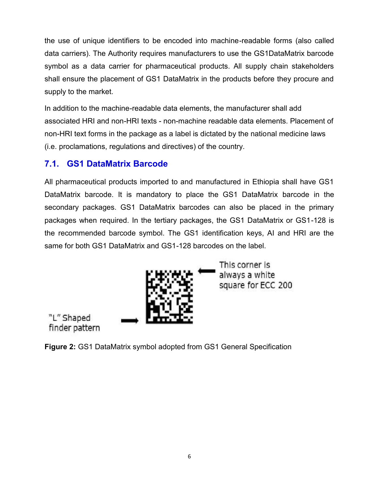the use of unique identifiers to be encoded into machine-readable forms (also called data carriers). The Authority requires manufacturers to use the GS1DataMatrix barcode symbol as a data carrier for pharmaceutical products. All supply chain stakeholders shall ensure the placement of GS1 DataMatrix in the products before they procure and supply to the market.

In addition to the machine-readable data elements, the manufacturer shall add associated HRI and non-HRI texts - non-machine readable data elements. Placement of non-HRI text forms in the package as a label is dictated by the national medicine laws (i.e. proclamations, regulations and directives) of the country.

#### **7.1. GS1 DataMatrix Barcode**

All pharmaceutical products imported to and manufactured in Ethiopia shall have GS1 DataMatrix barcode. It is mandatory to place the GS1 DataMatrix barcode in the secondary packages. GS1 DataMatrix barcodes can also be placed in the primary packages when required. In the tertiary packages, the GS1 DataMatrix or GS1-128 is the recommended barcode symbol. The GS1 identification keys, AI and HRI are the same for both GS1 DataMatrix and GS1-128 barcodes on the label.



This corner is always a white square for ECC 200

"L" Shaped finder pattern

**Figure 2:** GS1 DataMatrix symbol adopted from GS1 General Specification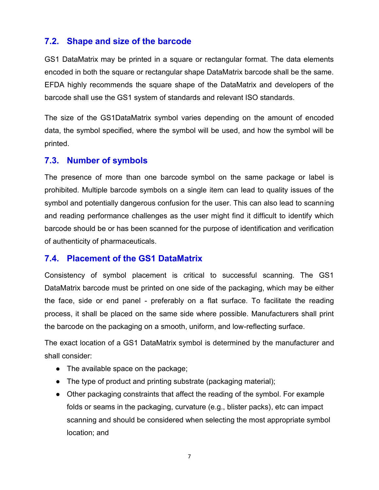#### **7.2. Shape and size of the barcode**

GS1 DataMatrix may be printed in a square or rectangular format. The data elements encoded in both the square or rectangular shape DataMatrix barcode shall be the same. EFDA highly recommends the square shape of the DataMatrix and developers of the barcode shall use the GS1 system of standards and relevant ISO standards.

The size of the GS1DataMatrix symbol varies depending on the amount of encoded data, the symbol specified, where the symbol will be used, and how the symbol will be printed.

#### **7.3. Number of symbols**

The presence of more than one barcode symbol on the same package or label is prohibited. Multiple barcode symbols on a single item can lead to quality issues of the symbol and potentially dangerous confusion for the user. This can also lead to scanning and reading performance challenges as the user might find it difficult to identify which barcode should be or has been scanned for the purpose of identification and verification of authenticity of pharmaceuticals.

#### **7.4. Placement of the GS1 DataMatrix**

Consistency of symbol placement is critical to successful scanning. The GS1 DataMatrix barcode must be printed on one side of the packaging, which may be either the face, side or end panel - preferably on a flat surface. To facilitate the reading process, it shall be placed on the same side where possible. Manufacturers shall print the barcode on the packaging on a smooth, uniform, and low-reflecting surface.

The exact location of a GS1 DataMatrix symbol is determined by the manufacturer and shall consider:

- The available space on the package;
- The type of product and printing substrate (packaging material);
- Other packaging constraints that affect the reading of the symbol. For example folds or seams in the packaging, curvature (e.g., blister packs), etc can impact scanning and should be considered when selecting the most appropriate symbol location; and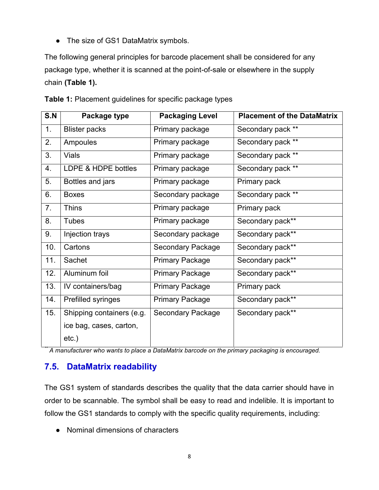• The size of GS1 DataMatrix symbols.

The following general principles for barcode placement shall be considered for any package type, whether it is scanned at the point-of-sale or elsewhere in the supply chain **(Table 1).**

| S.N | Package type              | <b>Packaging Level</b>   | <b>Placement of the DataMatrix</b> |
|-----|---------------------------|--------------------------|------------------------------------|
| 1.  | <b>Blister packs</b>      | Primary package          | Secondary pack **                  |
| 2.  | Ampoules                  | Primary package          | Secondary pack **                  |
| 3.  | <b>Vials</b>              | Primary package          | Secondary pack **                  |
| 4.  | LDPE & HDPE bottles       | Primary package          | Secondary pack **                  |
| 5.  | Bottles and jars          | Primary package          | Primary pack                       |
| 6.  | <b>Boxes</b>              | Secondary package        | Secondary pack **                  |
| 7.  | <b>Thins</b>              | Primary package          | Primary pack                       |
| 8.  | <b>Tubes</b>              | Primary package          | Secondary pack**                   |
| 9.  | Injection trays           | Secondary package        | Secondary pack**                   |
| 10. | Cartons                   | <b>Secondary Package</b> | Secondary pack**                   |
| 11. | Sachet                    | <b>Primary Package</b>   | Secondary pack**                   |
| 12. | Aluminum foil             | <b>Primary Package</b>   | Secondary pack**                   |
| 13. | IV containers/bag         | <b>Primary Package</b>   | Primary pack                       |
| 14. | Prefilled syringes        | <b>Primary Package</b>   | Secondary pack**                   |
| 15. | Shipping containers (e.g. | <b>Secondary Package</b> | Secondary pack**                   |
|     | ice bag, cases, carton,   |                          |                                    |
|     | $etc.$ )                  |                          |                                    |

**Table 1:** Placement guidelines for specific package types

*\*\* A manufacturer who wants to place a DataMatrix barcode on the primary packaging is encouraged.*

#### **7.5. DataMatrix readability**

The GS1 system of standards describes the quality that the data carrier should have in order to be scannable. The symbol shall be easy to read and indelible. It is important to follow the GS1 standards to comply with the specific quality requirements, including:

● Nominal dimensions of characters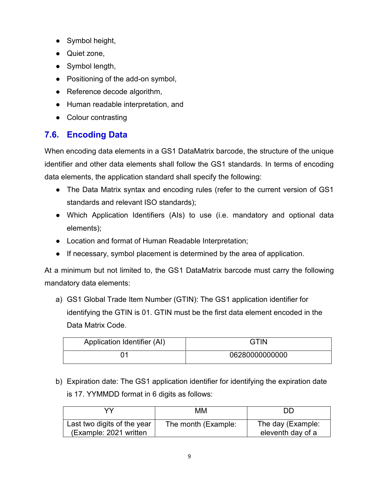- Symbol height,
- Quiet zone,
- Symbol length,
- Positioning of the add-on symbol,
- Reference decode algorithm,
- Human readable interpretation, and
- Colour contrasting

### **7.6. Encoding Data**

When encoding data elements in a GS1 DataMatrix barcode, the structure of the unique identifier and other data elements shall follow the GS1 standards. In terms of encoding data elements, the application standard shall specify the following:

- The Data Matrix syntax and encoding rules (refer to the current version of GS1 standards and relevant ISO standards);
- Which Application Identifiers (AIs) to use (i.e. mandatory and optional data elements);
- Location and format of Human Readable Interpretation;
- If necessary, symbol placement is determined by the area of application.

At a minimum but not limited to, the GS1 DataMatrix barcode must carry the following mandatory data elements:

a) GS1 Global Trade Item Number (GTIN): The GS1 application identifier for identifying the GTIN is 01. GTIN must be the first data element encoded in the Data Matrix Code.

| Application Identifier (AI) | GTIN           |
|-----------------------------|----------------|
|                             | 06280000000000 |

b) Expiration date: The GS1 application identifier for identifying the expiration date is 17. YYMMDD format in 6 digits as follows:

| vv                                                    | ΜМ                  | DГ                                     |
|-------------------------------------------------------|---------------------|----------------------------------------|
| Last two digits of the year<br>(Example: 2021 written | The month (Example: | The day (Example:<br>eleventh day of a |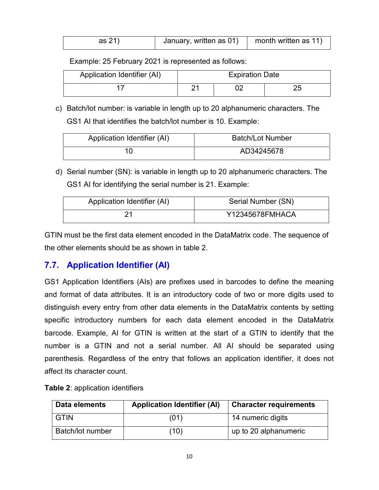| as 21) | January, written as 01) | month written as 11) |  |
|--------|-------------------------|----------------------|--|
|--------|-------------------------|----------------------|--|

Example: 25 February 2021 is represented as follows:

| Application Identifier (AI) | <b>Expiration Date</b> |  |          |
|-----------------------------|------------------------|--|----------|
|                             | ິ                      |  | つに<br>∠J |

c) Batch/lot number: is variable in length up to 20 alphanumeric characters. The GS1 AI that identifies the batch/lot number is 10. Example:

| Application Identifier (AI) | <b>Batch/Lot Number</b> |
|-----------------------------|-------------------------|
|                             | AD34245678              |

d) Serial number (SN): is variable in length up to 20 alphanumeric characters. The GS1 AI for identifying the serial number is 21. Example:

| Application Identifier (AI) | Serial Number (SN) |
|-----------------------------|--------------------|
|                             | Y12345678FMHACA    |

GTIN must be the first data element encoded in the DataMatrix code. The sequence of the other elements should be as shown in table 2.

#### **7.7. Application Identifier (AI)**

GS1 Application Identifiers (AIs) are prefixes used in barcodes to define the meaning and format of data attributes. It is an introductory code of two or more digits used to distinguish every entry from other data elements in the DataMatrix contents by setting specific introductory numbers for each data element encoded in the DataMatrix barcode. Example, AI for GTIN is written at the start of a GTIN to identify that the number is a GTIN and not a serial number. All AI should be separated using parenthesis. Regardless of the entry that follows an application identifier, it does not affect its character count.

| Data elements    | <b>Application Identifier (AI)</b> | <b>Character requirements</b> |
|------------------|------------------------------------|-------------------------------|
| <b>GTIN</b>      | (01)                               | 14 numeric digits             |
| Batch/lot number | (10)                               | up to 20 alphanumeric         |

**Table 2**: application identifiers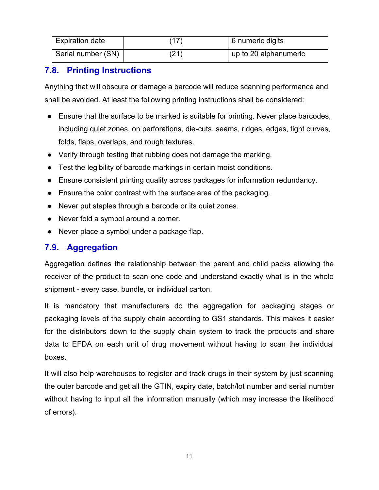| <b>Expiration date</b> | (17) | 6 numeric digits      |
|------------------------|------|-----------------------|
| Serial number (SN)     | 21   | up to 20 alphanumeric |

### **7.8. Printing Instructions**

Anything that will obscure or damage a barcode will reduce scanning performance and shall be avoided. At least the following printing instructions shall be considered:

- Ensure that the surface to be marked is suitable for printing. Never place barcodes, including quiet zones, on perforations, die-cuts, seams, ridges, edges, tight curves, folds, flaps, overlaps, and rough textures.
- Verify through testing that rubbing does not damage the marking.
- Test the legibility of barcode markings in certain moist conditions.
- Ensure consistent printing quality across packages for information redundancy.
- Ensure the color contrast with the surface area of the packaging.
- Never put staples through a barcode or its quiet zones.
- Never fold a symbol around a corner.
- Never place a symbol under a package flap.

### **7.9. Aggregation**

Aggregation defines the relationship between the parent and child packs allowing the receiver of the product to scan one code and understand exactly what is in the whole shipment - every case, bundle, or individual carton.

It is mandatory that manufacturers do the aggregation for packaging stages or packaging levels of the supply chain according to GS1 standards. This makes it easier for the distributors down to the supply chain system to track the products and share data to EFDA on each unit of drug movement without having to scan the individual boxes.

It will also help warehouses to register and track drugs in their system by just scanning the outer barcode and get all the GTIN, expiry date, batch/lot number and serial number without having to input all the information manually (which may increase the likelihood of errors).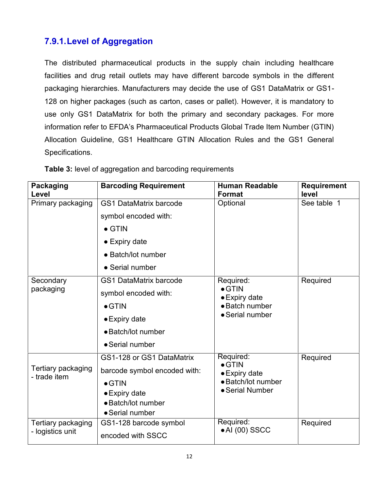### **7.9.1.Level of Aggregation**

The distributed pharmaceutical products in the supply chain including healthcare facilities and drug retail outlets may have different barcode symbols in the different packaging hierarchies. Manufacturers may decide the use of GS1 DataMatrix or GS1- 128 on higher packages (such as carton, cases or pallet). However, it is mandatory to use only GS1 DataMatrix for both the primary and secondary packages. For more information refer to EFDA's Pharmaceutical Products Global Trade Item Number (GTIN) Allocation Guideline, GS1 Healthcare GTIN Allocation Rules and the GS1 General Specifications.

| <b>Packaging</b><br>Level              | <b>Barcoding Requirement</b>  | <b>Human Readable</b><br><b>Format</b> | <b>Requirement</b><br>level |  |
|----------------------------------------|-------------------------------|----------------------------------------|-----------------------------|--|
| Primary packaging                      | <b>GS1 DataMatrix barcode</b> | Optional                               | See table 1                 |  |
|                                        | symbol encoded with:          |                                        |                             |  |
|                                        | $\bullet$ GTIN                |                                        |                             |  |
|                                        | $\bullet$ Expiry date         |                                        |                             |  |
|                                        | • Batch/lot number            |                                        |                             |  |
|                                        | • Serial number               |                                        |                             |  |
| Secondary                              | <b>GS1 DataMatrix barcode</b> | Required:                              | Required                    |  |
| packaging                              | symbol encoded with:          | $\bullet$ GTIN<br>• Expiry date        |                             |  |
|                                        | $\bullet$ GTIN                | • Batch number                         |                             |  |
|                                        | $\bullet$ Expiry date         | • Serial number                        |                             |  |
|                                        | • Batch/lot number            |                                        |                             |  |
|                                        | • Serial number               |                                        |                             |  |
|                                        | GS1-128 or GS1 DataMatrix     | Required:<br>$\bullet$ GTIN            | Required                    |  |
| Tertiary packaging<br>- trade item     | barcode symbol encoded with:  | $\bullet$ Expiry date                  |                             |  |
|                                        | $\bullet$ GTIN                | • Batch/lot number                     |                             |  |
|                                        | $\bullet$ Expiry date         | • Serial Number                        |                             |  |
|                                        | • Batch/lot number            |                                        |                             |  |
|                                        | • Serial number               |                                        |                             |  |
| Tertiary packaging<br>- logistics unit | GS1-128 barcode symbol        | Required:<br>$\bullet$ AI (00) SSCC    | Required                    |  |
|                                        | encoded with SSCC             |                                        |                             |  |

**Table 3:** level of aggregation and barcoding requirements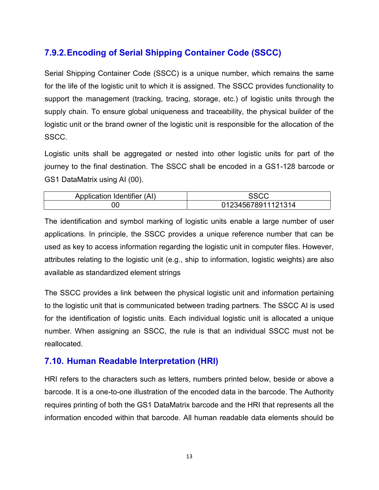### **7.9.2.Encoding of Serial Shipping Container Code (SSCC)**

Serial Shipping Container Code (SSCC) is a unique number, which remains the same for the life of the logistic unit to which it is assigned. The SSCC provides functionality to support the management (tracking, tracing, storage, etc.) of logistic units through the supply chain. To ensure global uniqueness and traceability, the physical builder of the logistic unit or the brand owner of the logistic unit is responsible for the allocation of the SSCC.

Logistic units shall be aggregated or nested into other logistic units for part of the journey to the final destination. The SSCC shall be encoded in a GS1-128 barcode or GS1 DataMatrix using AI (00).

| Application Identifier (AI) | $\sim$<br>טטע      |
|-----------------------------|--------------------|
| OC                          | 012345678911121314 |

The identification and symbol marking of logistic units enable a large number of user applications. In principle, the SSCC provides a unique reference number that can be used as key to access information regarding the logistic unit in computer files. However, attributes relating to the logistic unit (e.g., ship to information, logistic weights) are also available as standardized element strings

The SSCC provides a link between the physical logistic unit and information pertaining to the logistic unit that is communicated between trading partners. The SSCC AI is used for the identification of logistic units. Each individual logistic unit is allocated a unique number. When assigning an SSCC, the rule is that an individual SSCC must not be reallocated.

#### **7.10. Human Readable Interpretation (HRI)**

HRI refers to the characters such as letters, numbers printed below, beside or above a barcode. It is a one-to-one illustration of the encoded data in the barcode. The Authority requires printing of both the GS1 DataMatrix barcode and the HRI that represents all the information encoded within that barcode. All human readable data elements should be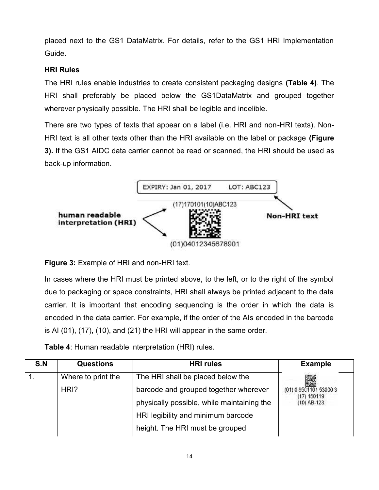placed next to the GS1 DataMatrix. For details, refer to the GS1 HRI Implementation Guide.

#### **HRI Rules**

The HRI rules enable industries to create consistent packaging designs **(Table 4)**. The HRI shall preferably be placed below the GS1DataMatrix and grouped together wherever physically possible. The HRI shall be legible and indelible. placed next to the GS1 DataMatrix. For details, refer to the GS1 HRI Implementation<br>Guide.<br>HRI Rules<br>The HRI rules enable industries to create consistent packaging designs (Table 4). The<br>HRI shall preferably be placed belo

There are two types of texts that appear on a label (i.e. HRI and non-HRI texts). Non- HRI text is all other texts other than the HRI available on the label or package **(Figure 3).** If the GS1 AIDC data carrier cannot be read or scanned, the HRI should be used as back-up information.



**Figure 3:** Example of HRI and non-HRI text.

In cases where the HRI must be printed above, to the left, or to the right of the symbol due to packaging or space constraints, HRI shall always be printed adjacent to the data carrier. It is important that encoding sequencing is the order in which the data is encoded in the data carrier. For example, if the order of the AIs encoded in the barcode is AI (01), (17), (10), and (21) the HRI will appear in the same order.

|     |                    | encoded in the data carrier. For example, if the order of the AIs encoded in the barcode<br>is AI $(01)$ , $(17)$ , $(10)$ , and $(21)$ the HRI will appear in the same order. |                                       |
|-----|--------------------|--------------------------------------------------------------------------------------------------------------------------------------------------------------------------------|---------------------------------------|
| S.N | <b>Questions</b>   | <b>Table 4:</b> Human readable interpretation (HRI) rules.<br><b>HRI</b> rules                                                                                                 | <b>Example</b>                        |
| 1.  | Where to print the | The HRI shall be placed below the                                                                                                                                              |                                       |
|     | HRI?               | barcode and grouped together wherever                                                                                                                                          | (01) 0 9501101 53000 3<br>(17) 150119 |
|     |                    | physically possible, while maintaining the                                                                                                                                     | $(10)$ AB-123                         |
|     |                    | HRI legibility and minimum barcode                                                                                                                                             |                                       |
|     |                    | height. The HRI must be grouped                                                                                                                                                |                                       |
|     |                    |                                                                                                                                                                                |                                       |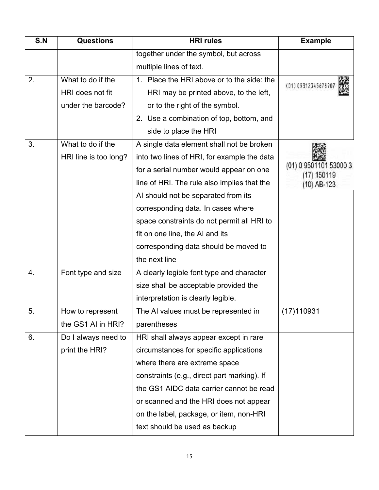| S.N | <b>Questions</b>                                            | <b>HRI</b> rules                                                                                                                                                                                                                                                                                                                                                                                           | <b>Example</b>                                       |
|-----|-------------------------------------------------------------|------------------------------------------------------------------------------------------------------------------------------------------------------------------------------------------------------------------------------------------------------------------------------------------------------------------------------------------------------------------------------------------------------------|------------------------------------------------------|
|     |                                                             | together under the symbol, but across                                                                                                                                                                                                                                                                                                                                                                      |                                                      |
|     |                                                             | multiple lines of text.                                                                                                                                                                                                                                                                                                                                                                                    |                                                      |
| 2.  | What to do if the<br>HRI does not fit<br>under the barcode? | 1. Place the HRI above or to the side; the<br>HRI may be printed above, to the left,<br>or to the right of the symbol.                                                                                                                                                                                                                                                                                     | (01) 09312345678907                                  |
|     |                                                             | 2. Use a combination of top, bottom, and<br>side to place the HRI                                                                                                                                                                                                                                                                                                                                          |                                                      |
| 3.  | What to do if the<br>HRI line is too long?                  | A single data element shall not be broken<br>into two lines of HRI, for example the data<br>for a serial number would appear on one<br>line of HRI. The rule also implies that the<br>AI should not be separated from its<br>corresponding data. In cases where<br>space constraints do not permit all HRI to<br>fit on one line, the AI and its<br>corresponding data should be moved to<br>the next line | (01) 0 9501101 53000 3<br>(17) 150119<br>(10) AB-123 |
| 4.  | Font type and size                                          | A clearly legible font type and character<br>size shall be acceptable provided the<br>interpretation is clearly legible.                                                                                                                                                                                                                                                                                   |                                                      |
| 5.  | How to represent<br>the GS1 AI in HRI?                      | The AI values must be represented in<br>parentheses                                                                                                                                                                                                                                                                                                                                                        | (17)110931                                           |
| 6.  | Do I always need to<br>print the HRI?                       | HRI shall always appear except in rare<br>circumstances for specific applications<br>where there are extreme space<br>constraints (e.g., direct part marking). If<br>the GS1 AIDC data carrier cannot be read<br>or scanned and the HRI does not appear<br>on the label, package, or item, non-HRI<br>text should be used as backup                                                                        |                                                      |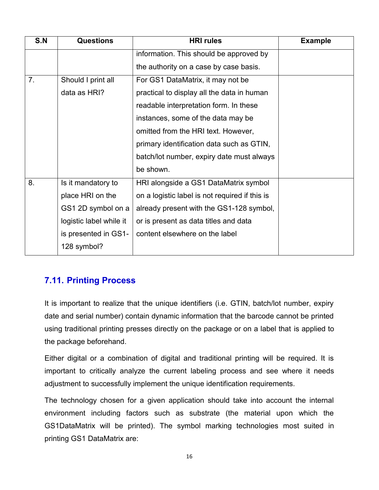| S.N | <b>Questions</b>        | <b>HRI</b> rules                               | <b>Example</b> |
|-----|-------------------------|------------------------------------------------|----------------|
|     |                         | information. This should be approved by        |                |
|     |                         | the authority on a case by case basis.         |                |
| 7.  | Should I print all      | For GS1 DataMatrix, it may not be              |                |
|     | data as HRI?            | practical to display all the data in human     |                |
|     |                         | readable interpretation form. In these         |                |
|     |                         | instances, some of the data may be             |                |
|     |                         | omitted from the HRI text. However,            |                |
|     |                         | primary identification data such as GTIN,      |                |
|     |                         | batch/lot number, expiry date must always      |                |
|     |                         | be shown.                                      |                |
| 8.  | Is it mandatory to      | HRI alongside a GS1 DataMatrix symbol          |                |
|     | place HRI on the        | on a logistic label is not required if this is |                |
|     | GS1 2D symbol on a      | already present with the GS1-128 symbol,       |                |
|     | logistic label while it | or is present as data titles and data          |                |
|     | is presented in GS1-    | content elsewhere on the label                 |                |
|     | 128 symbol?             |                                                |                |
|     |                         |                                                |                |

#### **7.11. Printing Process**

It is important to realize that the unique identifiers (i.e. GTIN, batch/lot number, expiry date and serial number) contain dynamic information that the barcode cannot be printed using traditional printing presses directly on the package or on a label that is applied to the package beforehand.

Either digital or a combination of digital and traditional printing will be required. It is important to critically analyze the current labeling process and see where it needs adjustment to successfully implement the unique identification requirements.

The technology chosen for a given application should take into account the internal environment including factors such as substrate (the material upon which the GS1DataMatrix will be printed). The symbol marking technologies most suited in printing GS1 DataMatrix are: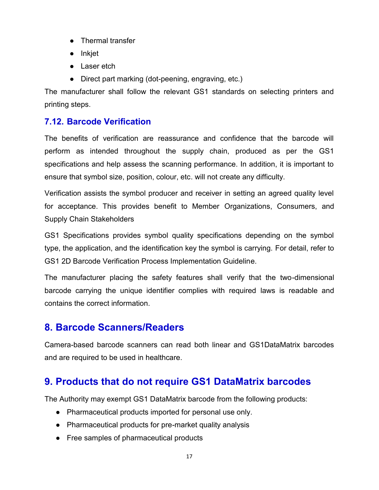- Thermal transfer
- Inkjet
- Laser etch
- Direct part marking (dot-peening, engraving, etc.)

The manufacturer shall follow the relevant GS1 standards on selecting printers and printing steps.

### **7.12. Barcode Verification**

The benefits of verification are reassurance and confidence that the barcode will perform as intended throughout the supply chain, produced as per the GS1 specifications and help assess the scanning performance. In addition, it is important to ensure that symbol size, position, colour, etc. will not create any difficulty.

Verification assists the symbol producer and receiver in setting an agreed quality level for acceptance. This provides benefit to Member Organizations, Consumers, and Supply Chain Stakeholders

GS1 Specifications provides symbol quality specifications depending on the symbol type, the application, and the identification key the symbol is carrying. For detail, refer to GS1 2D Barcode Verification Process Implementation Guideline.

The manufacturer placing the safety features shall verify that the two-dimensional barcode carrying the unique identifier complies with required laws is readable and contains the correct information.

## **8. Barcode Scanners/Readers**

Camera-based barcode scanners can read both linear and GS1DataMatrix barcodes and are required to be used in healthcare.

## **9. Products that do not require GS1 DataMatrix barcodes**

The Authority may exempt GS1 DataMatrix barcode from the following products:

- Pharmaceutical products imported for personal use only.
- Pharmaceutical products for pre-market quality analysis
- Free samples of pharmaceutical products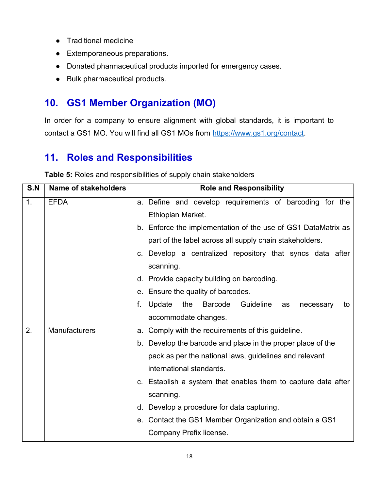- Traditional medicine
- Extemporaneous preparations.
- Donated pharmaceutical products imported for emergency cases.
- Bulk pharmaceutical products.

# **10. GS1 Member Organization (MO)**

In order for a company to ensure alignment with global standards, it is important to contact a GS1 MO. You will find all GS1 MOs from https://www.gs1.org/contact.

## **11. Roles and Responsibilities**

| S.N | Name of stakeholders | <b>Role and Responsibility</b>                                                                                                                                                                                                                                                                                                                                                                                                                                         |  |
|-----|----------------------|------------------------------------------------------------------------------------------------------------------------------------------------------------------------------------------------------------------------------------------------------------------------------------------------------------------------------------------------------------------------------------------------------------------------------------------------------------------------|--|
| 1.  | <b>EFDA</b>          | a. Define and develop requirements of barcoding for the<br>Ethiopian Market.<br>b. Enforce the implementation of the use of GS1 DataMatrix as<br>part of the label across all supply chain stakeholders.<br>c. Develop a centralized repository that syncs data after<br>scanning.<br>d. Provide capacity building on barcoding.<br>e. Ensure the quality of barcodes.<br>f.<br>Update<br>the<br>Barcode<br>Guideline<br>necessary<br>as<br>to<br>accommodate changes. |  |
| 2.  | Manufacturers        | Comply with the requirements of this guideline.<br>a.<br>b. Develop the barcode and place in the proper place of the<br>pack as per the national laws, guidelines and relevant<br>international standards.<br>c. Establish a system that enables them to capture data after<br>scanning.<br>Develop a procedure for data capturing.<br>d.<br>Contact the GS1 Member Organization and obtain a GS1<br>е.<br>Company Prefix license.                                     |  |

**Table 5:** Roles and responsibilities of supply chain stakeholders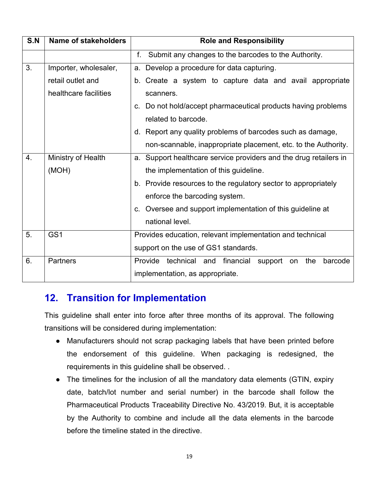| S.N | <b>Name of stakeholders</b> | <b>Role and Responsibility</b>                                               |  |
|-----|-----------------------------|------------------------------------------------------------------------------|--|
|     |                             | Submit any changes to the barcodes to the Authority.<br>f.                   |  |
| 3.  | Importer, wholesaler,       | a. Develop a procedure for data capturing.                                   |  |
|     | retail outlet and           | b. Create a system to capture data and avail appropriate                     |  |
|     | healthcare facilities       | scanners.                                                                    |  |
|     |                             | Do not hold/accept pharmaceutical products having problems<br>$\mathbf{C}$ . |  |
|     |                             | related to barcode.                                                          |  |
|     |                             | d. Report any quality problems of barcodes such as damage,                   |  |
|     |                             | non-scannable, inappropriate placement, etc. to the Authority.               |  |
| 4.  | Ministry of Health          | a. Support healthcare service providers and the drug retailers in            |  |
|     | (MOH)                       | the implementation of this guideline.                                        |  |
|     |                             | b. Provide resources to the regulatory sector to appropriately               |  |
|     |                             | enforce the barcoding system.                                                |  |
|     |                             | c. Oversee and support implementation of this guideline at                   |  |
|     |                             | national level.                                                              |  |
| 5.  | GS <sub>1</sub>             | Provides education, relevant implementation and technical                    |  |
|     |                             | support on the use of GS1 standards.                                         |  |
| 6.  | <b>Partners</b>             | Provide technical and financial support on<br>the<br>barcode                 |  |
|     |                             | implementation, as appropriate.                                              |  |

### **12. Transition for Implementation**

This guideline shall enter into force after three months of its approval. The following transitions will be considered during implementation:

- Manufacturers should not scrap packaging labels that have been printed before the endorsement of this guideline. When packaging is redesigned, the requirements in this guideline shall be observed. .
- The timelines for the inclusion of all the mandatory data elements (GTIN, expiry date, batch/lot number and serial number) in the barcode shall follow the Pharmaceutical Products Traceability Directive No. 43/2019. But, it is acceptable by the Authority to combine and include all the data elements in the barcode before the timeline stated in the directive.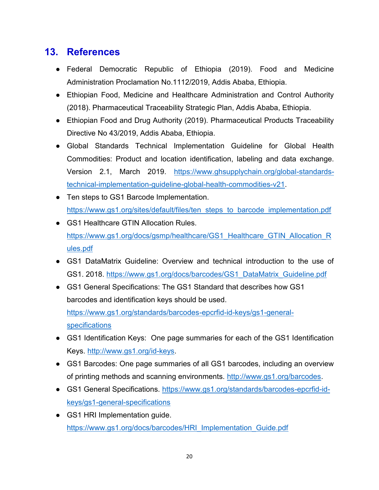## **13. References**

- Federal Democratic Republic of Ethiopia (2019). Food and Medicine Administration Proclamation No.1112/2019, Addis Ababa, Ethiopia.
- Ethiopian Food, Medicine and Healthcare Administration and Control Authority (2018). Pharmaceutical Traceability Strategic Plan, Addis Ababa, Ethiopia.
- Ethiopian Food and Drug Authority (2019). Pharmaceutical Products Traceability Directive No 43/2019, Addis Ababa, Ethiopia.
- Global Standards Technical Implementation Guideline for Global Health Commodities: Product and location identification, labeling and data exchange. Version 2.1, March 2019. https://www.ghsupplychain.org/global-standardstechnical-implementation-guideline-global-health-commodities-v21.
- Ten steps to GS1 Barcode Implementation. https://www.gs1.org/sites/default/files/ten\_steps\_to\_barcode\_implementation.pdf
- GS1 Healthcare GTIN Allocation Rules. https://www.gs1.org/docs/gsmp/healthcare/GS1\_Healthcare\_GTIN\_Allocation\_R ules.pdf
- GS1 DataMatrix Guideline: Overview and technical introduction to the use of GS1. 2018. https://www.gs1.org/docs/barcodes/GS1\_DataMatrix\_Guideline.pdf
- GS1 General Specifications: The GS1 Standard that describes how GS1 barcodes and identification keys should be used. https://www.gs1.org/standards/barcodes-epcrfid-id-keys/gs1-general specifications
- GS1 Identification Keys: One page summaries for each of the GS1 Identification Keys. http://www.gs1.org/id-keys.
- GS1 Barcodes: One page summaries of all GS1 barcodes, including an overview of printing methods and scanning environments. http://www.gs1.org/barcodes.
- GS1 General Specifications. https://www.gs1.org/standards/barcodes-epcrfid-id keys/gs1-general-specifications
- GS1 HRI Implementation guide. https://www.gs1.org/docs/barcodes/HRI\_Implementation\_Guide.pdf